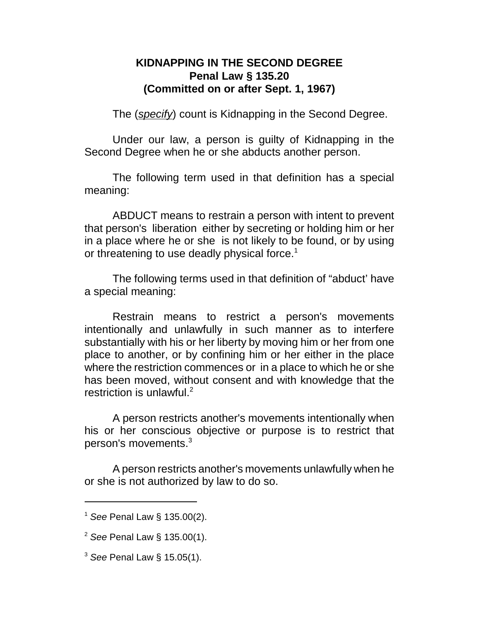## **KIDNAPPING IN THE SECOND DEGREE Penal Law § 135.20 (Committed on or after Sept. 1, 1967)**

The (*specify*) count is Kidnapping in the Second Degree.

Under our law, a person is guilty of Kidnapping in the Second Degree when he or she abducts another person.

The following term used in that definition has a special meaning:

ABDUCT means to restrain a person with intent to prevent that person's liberation either by secreting or holding him or her in a place where he or she is not likely to be found, or by using or threatening to use deadly physical force.<sup>1</sup>

The following terms used in that definition of "abduct' have a special meaning:

Restrain means to restrict a person's movements intentionally and unlawfully in such manner as to interfere substantially with his or her liberty by moving him or her from one place to another, or by confining him or her either in the place where the restriction commences or in a place to which he or she has been moved, without consent and with knowledge that the restriction is unlawful. $2$ 

A person restricts another's movements intentionally when his or her conscious objective or purpose is to restrict that person's movements.<sup>3</sup>

A person restricts another's movements unlawfully when he or she is not authorized by law to do so.

<sup>1</sup> *See* Penal Law § 135.00(2).

<sup>2</sup> *See* Penal Law § 135.00(1).

<sup>3</sup> *See* Penal Law § 15.05(1).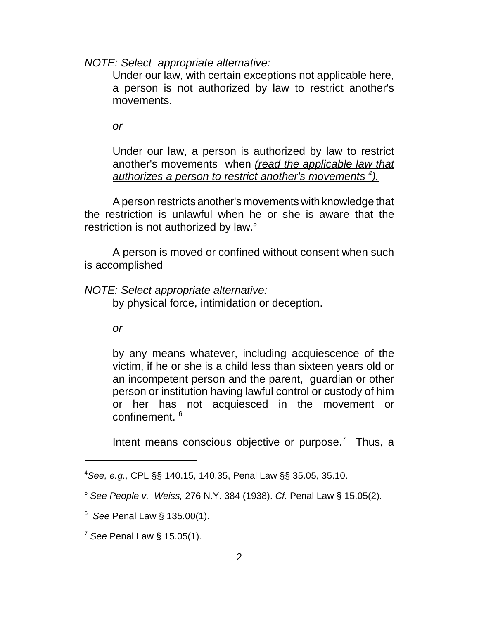*NOTE: Select appropriate alternative:*

Under our law, with certain exceptions not applicable here, a person is not authorized by law to restrict another's movements.

*or*

Under our law, a person is authorized by law to restrict another's movements when *(read the applicable law that authorizes a person to restrict another's movements <sup>4</sup> ).*

A person restricts another's movements with knowledge that the restriction is unlawful when he or she is aware that the restriction is not authorized by law.<sup>5</sup>

A person is moved or confined without consent when such is accomplished

*NOTE: Select appropriate alternative:*

by physical force, intimidation or deception.

*or*

by any means whatever, including acquiescence of the victim, if he or she is a child less than sixteen years old or an incompetent person and the parent, guardian or other person or institution having lawful control or custody of him or her has not acquiesced in the movement or confinement.<sup>6</sup>

Intent means conscious objective or purpose. $7$  Thus, a

<sup>4</sup>*See, e.g.,* CPL §§ 140.15, 140.35, Penal Law §§ 35.05, 35.10.

<sup>5</sup> *See People v. Weiss,* 276 N.Y. 384 (1938). *Cf.* Penal Law § 15.05(2).

<sup>6</sup> *See* Penal Law § 135.00(1).

<sup>7</sup> *See* Penal Law § 15.05(1).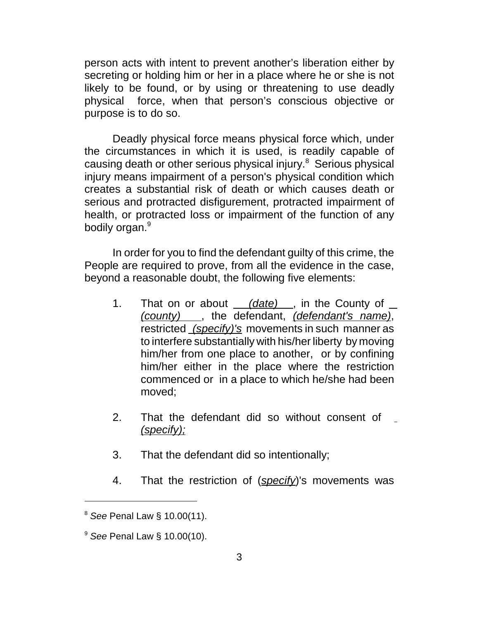person acts with intent to prevent another's liberation either by secreting or holding him or her in a place where he or she is not likely to be found, or by using or threatening to use deadly physical force, when that person's conscious objective or purpose is to do so.

Deadly physical force means physical force which, under the circumstances in which it is used, is readily capable of causing death or other serious physical injury.<sup>8</sup> Serious physical injury means impairment of a person's physical condition which creates a substantial risk of death or which causes death or serious and protracted disfigurement, protracted impairment of health, or protracted loss or impairment of the function of any bodily organ.<sup>9</sup>

In order for you to find the defendant guilty of this crime, the People are required to prove, from all the evidence in the case, beyond a reasonable doubt, the following five elements:

- 1. That on or about *(date)* , in the County of *(county)* , the defendant, *(defendant's name)*, restricted *(specify)'s* movements in such manner as to interfere substantially with his/her liberty by moving him/her from one place to another, or by confining him/her either in the place where the restriction commenced or in a place to which he/she had been moved;
- 2. That the defendant did so without consent of *(specify);*
- 3. That the defendant did so intentionally;
- 4. That the restriction of (*specify*)'s movements was

<sup>8</sup> *See* Penal Law § 10.00(11).

<sup>9</sup> *See* Penal Law § 10.00(10).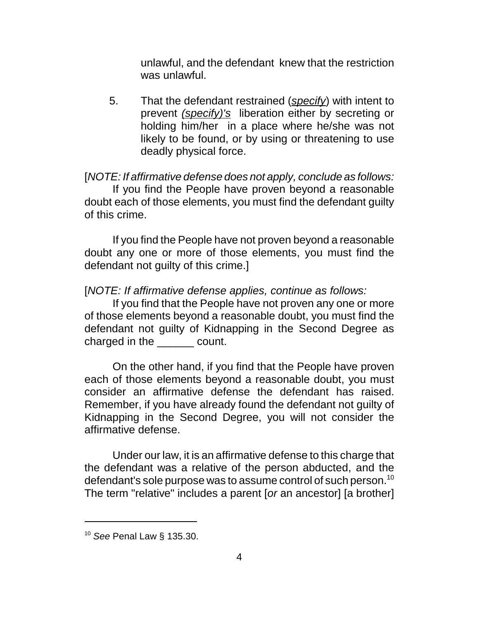unlawful, and the defendant knew that the restriction was unlawful.

 5. That the defendant restrained (*specify*) with intent to prevent *(specify)'s* liberation either by secreting or holding him/her in a place where he/she was not likely to be found, or by using or threatening to use deadly physical force.

[*NOTE: If affirmative defense does not apply, conclude as follows:* If you find the People have proven beyond a reasonable doubt each of those elements, you must find the defendant guilty of this crime.

If you find the People have not proven beyond a reasonable doubt any one or more of those elements, you must find the defendant not guilty of this crime.]

[*NOTE: If affirmative defense applies, continue as follows:*

If you find that the People have not proven any one or more of those elements beyond a reasonable doubt, you must find the defendant not guilty of Kidnapping in the Second Degree as charged in the \_\_\_\_\_\_ count.

On the other hand, if you find that the People have proven each of those elements beyond a reasonable doubt, you must consider an affirmative defense the defendant has raised. Remember, if you have already found the defendant not guilty of Kidnapping in the Second Degree, you will not consider the affirmative defense.

Under our law, it is an affirmative defense to this charge that the defendant was a relative of the person abducted, and the defendant's sole purpose was to assume control of such person.<sup>10</sup> The term "relative" includes a parent [*or* an ancestor] [a brother]

<sup>10</sup> *See* Penal Law § 135.30.